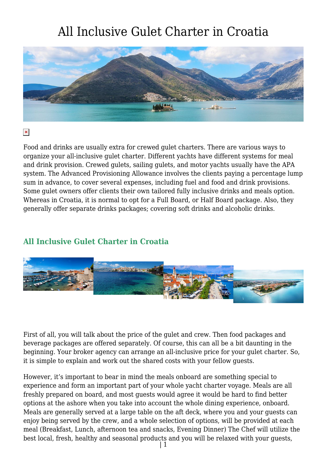

 $\pmb{\times}$ 

Food and drinks are usually extra for crewed gulet charters. There are various ways to organize your all-inclusive gulet charter. Different yachts have different systems for meal and drink provision. Crewed gulets, sailing gulets, and motor yachts usually have the APA system. The Advanced Provisioning Allowance involves the clients paying a percentage lump sum in advance, to cover several expenses, including fuel and food and drink provisions. Some gulet owners offer clients their own tailored fully inclusive drinks and meals option. Whereas in Croatia, it is normal to opt for a Full Board, or Half Board package. Also, they generally offer separate drinks packages; covering soft drinks and alcoholic drinks.

#### **All Inclusive Gulet Charter in Croatia**



First of all, you will talk about the price of the gulet and crew. Then food packages and beverage packages are offered separately. Of course, this can all be a bit daunting in the beginning. Your broker agency can arrange an all-inclusive price for your gulet charter. So, it is simple to explain and work out the shared costs with your fellow guests.

However, it's important to bear in mind the meals onboard are something special to experience and form an important part of your whole yacht charter voyage. Meals are all freshly prepared on board, and most guests would agree it would be hard to find better options at the ashore when you take into account the whole dining experience, onboard. Meals are generally served at a large table on the aft deck, where you and your guests can enjoy being served by the crew, and a whole selection of options, will be provided at each meal (Breakfast, Lunch, afternoon tea and snacks, Evening Dinner) The Chef will utilize the best local, fresh, healthy and seasonal products and you will be relaxed with your guests,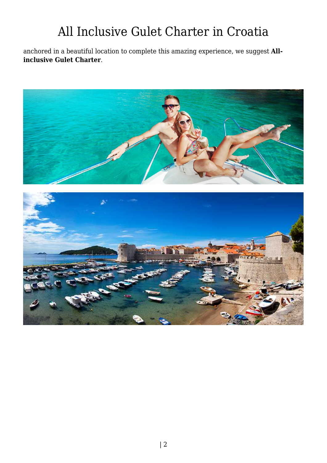anchored in a beautiful location to complete this amazing experience, we suggest **Allinclusive Gulet Charter**.

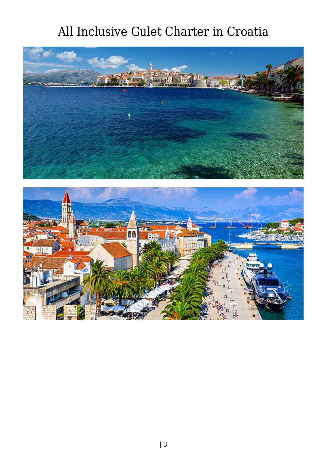